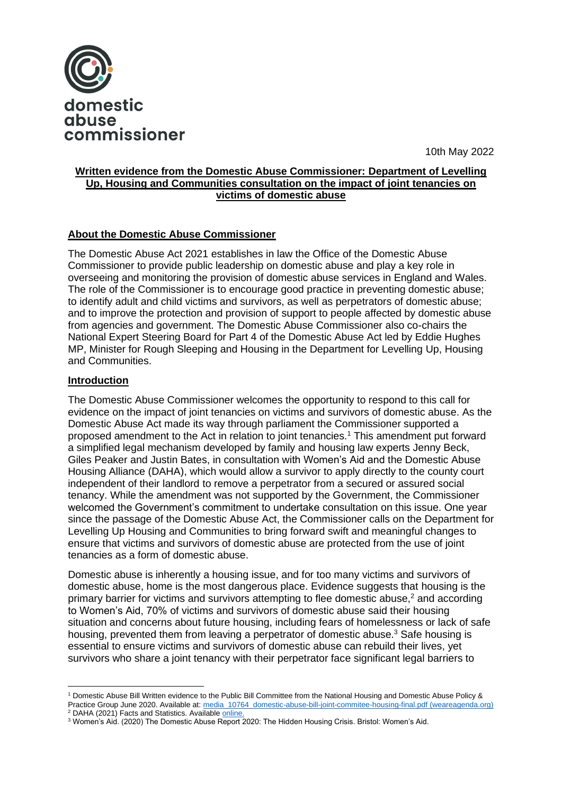

10th May 2022

# **Written evidence from the Domestic Abuse Commissioner: Department of Levelling Up, Housing and Communities consultation on the impact of joint tenancies on victims of domestic abuse**

# **About the Domestic Abuse Commissioner**

The Domestic Abuse Act 2021 establishes in law the Office of the Domestic Abuse Commissioner to provide public leadership on domestic abuse and play a key role in overseeing and monitoring the provision of domestic abuse services in England and Wales. The role of the Commissioner is to encourage good practice in preventing domestic abuse; to identify adult and child victims and survivors, as well as perpetrators of domestic abuse; and to improve the protection and provision of support to people affected by domestic abuse from agencies and government. The Domestic Abuse Commissioner also co-chairs the National Expert Steering Board for Part 4 of the Domestic Abuse Act led by Eddie Hughes MP, Minister for Rough Sleeping and Housing in the Department for Levelling Up, Housing and Communities.

## **Introduction**

The Domestic Abuse Commissioner welcomes the opportunity to respond to this call for evidence on the impact of joint tenancies on victims and survivors of domestic abuse. As the Domestic Abuse Act made its way through parliament the Commissioner supported a proposed amendment to the Act in relation to joint tenancies.<sup>1</sup> This amendment put forward a simplified legal mechanism developed by family and housing law experts Jenny Beck, Giles Peaker and Justin Bates, in consultation with Women's Aid and the Domestic Abuse Housing Alliance (DAHA), which would allow a survivor to apply directly to the county court independent of their landlord to remove a perpetrator from a secured or assured social tenancy. While the amendment was not supported by the Government, the Commissioner welcomed the Government's commitment to undertake consultation on this issue. One year since the passage of the Domestic Abuse Act, the Commissioner calls on the Department for Levelling Up Housing and Communities to bring forward swift and meaningful changes to ensure that victims and survivors of domestic abuse are protected from the use of joint tenancies as a form of domestic abuse.

Domestic abuse is inherently a housing issue, and for too many victims and survivors of domestic abuse, home is the most dangerous place. Evidence suggests that housing is the primary barrier for victims and survivors attempting to flee domestic abuse,<sup>2</sup> and according to Women's Aid, 70% of victims and survivors of domestic abuse said their housing situation and concerns about future housing, including fears of homelessness or lack of safe housing, prevented them from leaving a perpetrator of domestic abuse.<sup>3</sup> Safe housing is essential to ensure victims and survivors of domestic abuse can rebuild their lives, yet survivors who share a joint tenancy with their perpetrator face significant legal barriers to

<sup>1</sup> Domestic Abuse Bill Written evidence to the Public Bill Committee from the National Housing and Domestic Abuse Policy & Practice Group June 2020. Available at: [media\\_10764\\_domestic-abuse-bill-joint-commitee-housing-final.pdf \(weareagenda.org\)](https://weareagenda.org/wp-content/uploads/2020/11/media_10764_domestic-abuse-bill-joint-commitee-housing-final.pdf) <sup>2</sup> DAHA (2021) Facts and Statistics. Availabl[e online.](https://www.dahalliance.org.uk/about-us/who-we-are-why-we-do-it/)

<sup>&</sup>lt;sup>3</sup> Women's Aid. (2020) The Domestic Abuse Report 2020: The Hidden Housing Crisis. Bristol: Women's Aid.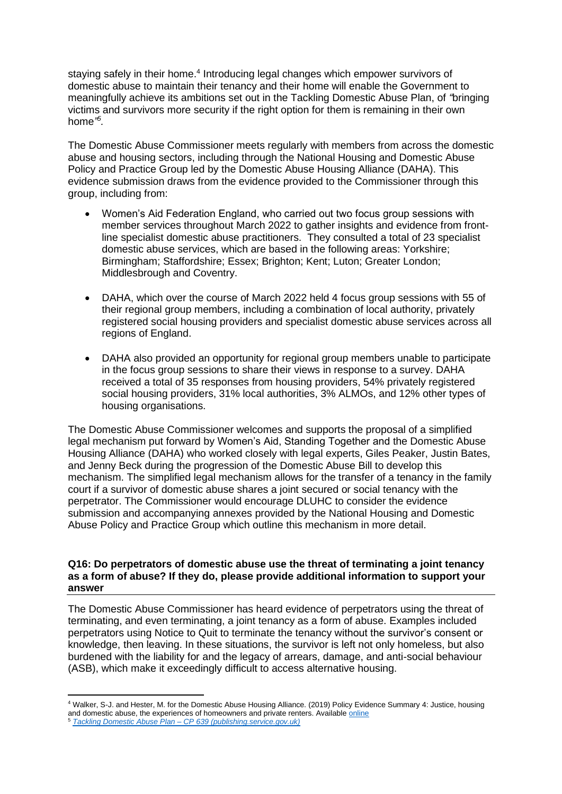staying safely in their home.<sup>4</sup> Introducing legal changes which empower survivors of domestic abuse to maintain their tenancy and their home will enable the Government to meaningfully achieve its ambitions set out in the Tackling Domestic Abuse Plan, of *"*bringing victims and survivors more security if the right option for them is remaining in their own home*" 5 .*

The Domestic Abuse Commissioner meets regularly with members from across the domestic abuse and housing sectors, including through the National Housing and Domestic Abuse Policy and Practice Group led by the Domestic Abuse Housing Alliance (DAHA). This evidence submission draws from the evidence provided to the Commissioner through this group, including from:

- Women's Aid Federation England, who carried out two focus group sessions with member services throughout March 2022 to gather insights and evidence from frontline specialist domestic abuse practitioners. They consulted a total of 23 specialist domestic abuse services, which are based in the following areas: Yorkshire; Birmingham; Staffordshire; Essex; Brighton; Kent; Luton; Greater London; Middlesbrough and Coventry.
- DAHA, which over the course of March 2022 held 4 focus group sessions with 55 of their regional group members, including a combination of local authority, privately registered social housing providers and specialist domestic abuse services across all regions of England.
- DAHA also provided an opportunity for regional group members unable to participate in the focus group sessions to share their views in response to a survey. DAHA received a total of 35 responses from housing providers, 54% privately registered social housing providers, 31% local authorities, 3% ALMOs, and 12% other types of housing organisations.

The Domestic Abuse Commissioner welcomes and supports the proposal of a simplified legal mechanism put forward by Women's Aid, Standing Together and the Domestic Abuse Housing Alliance (DAHA) who worked closely with legal experts, Giles Peaker, Justin Bates, and Jenny Beck during the progression of the Domestic Abuse Bill to develop this mechanism. The simplified legal mechanism allows for the transfer of a tenancy in the family court if a survivor of domestic abuse shares a joint secured or social tenancy with the perpetrator. The Commissioner would encourage DLUHC to consider the evidence submission and accompanying annexes provided by the National Housing and Domestic Abuse Policy and Practice Group which outline this mechanism in more detail.

## **Q16: Do perpetrators of domestic abuse use the threat of terminating a joint tenancy as a form of abuse? If they do, please provide additional information to support your answer**

The Domestic Abuse Commissioner has heard evidence of perpetrators using the threat of terminating, and even terminating, a joint tenancy as a form of abuse. Examples included perpetrators using Notice to Quit to terminate the tenancy without the survivor's consent or knowledge, then leaving. In these situations, the survivor is left not only homeless, but also burdened with the liability for and the legacy of arrears, damage, and anti-social behaviour (ASB), which make it exceedingly difficult to access alternative housing.

<sup>4</sup> Walker, S-J. and Hester, M. for the Domestic Abuse Housing Alliance. (2019) Policy Evidence Summary 4: Justice, housing and domestic abuse, the experiences of homeowners and private renters. Available *online* <sup>5</sup> *Tackling Domestic Abuse Plan – [CP 639 \(publishing.service.gov.uk\)](https://assets.publishing.service.gov.uk/government/uploads/system/uploads/attachment_data/file/1064427/E02735263_Tackling_Domestic_Abuse_CP_639_Accessible.pdf)*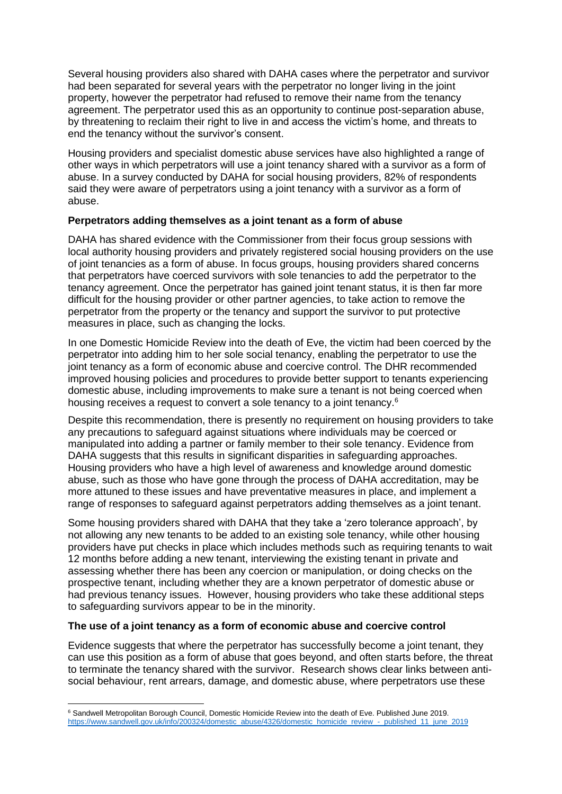Several housing providers also shared with DAHA cases where the perpetrator and survivor had been separated for several years with the perpetrator no longer living in the joint property, however the perpetrator had refused to remove their name from the tenancy agreement. The perpetrator used this as an opportunity to continue post-separation abuse, by threatening to reclaim their right to live in and access the victim's home, and threats to end the tenancy without the survivor's consent.

Housing providers and specialist domestic abuse services have also highlighted a range of other ways in which perpetrators will use a joint tenancy shared with a survivor as a form of abuse. In a survey conducted by DAHA for social housing providers, 82% of respondents said they were aware of perpetrators using a joint tenancy with a survivor as a form of abuse.

# **Perpetrators adding themselves as a joint tenant as a form of abuse**

DAHA has shared evidence with the Commissioner from their focus group sessions with local authority housing providers and privately registered social housing providers on the use of joint tenancies as a form of abuse. In focus groups, housing providers shared concerns that perpetrators have coerced survivors with sole tenancies to add the perpetrator to the tenancy agreement. Once the perpetrator has gained joint tenant status, it is then far more difficult for the housing provider or other partner agencies, to take action to remove the perpetrator from the property or the tenancy and support the survivor to put protective measures in place, such as changing the locks.

In one Domestic Homicide Review into the death of Eve, the victim had been coerced by the perpetrator into adding him to her sole social tenancy, enabling the perpetrator to use the joint tenancy as a form of economic abuse and coercive control. The DHR recommended improved housing policies and procedures to provide better support to tenants experiencing domestic abuse, including improvements to make sure a tenant is not being coerced when housing receives a request to convert a sole tenancy to a joint tenancy.<sup>6</sup>

Despite this recommendation, there is presently no requirement on housing providers to take any precautions to safeguard against situations where individuals may be coerced or manipulated into adding a partner or family member to their sole tenancy. Evidence from DAHA suggests that this results in significant disparities in safeguarding approaches. Housing providers who have a high level of awareness and knowledge around domestic abuse, such as those who have gone through the process of DAHA accreditation, may be more attuned to these issues and have preventative measures in place, and implement a range of responses to safeguard against perpetrators adding themselves as a joint tenant.

Some housing providers shared with DAHA that they take a 'zero tolerance approach', by not allowing any new tenants to be added to an existing sole tenancy, while other housing providers have put checks in place which includes methods such as requiring tenants to wait 12 months before adding a new tenant, interviewing the existing tenant in private and assessing whether there has been any coercion or manipulation, or doing checks on the prospective tenant, including whether they are a known perpetrator of domestic abuse or had previous tenancy issues. However, housing providers who take these additional steps to safeguarding survivors appear to be in the minority.

#### **The use of a joint tenancy as a form of economic abuse and coercive control**

Evidence suggests that where the perpetrator has successfully become a joint tenant, they can use this position as a form of abuse that goes beyond, and often starts before, the threat to terminate the tenancy shared with the survivor. Research shows clear links between antisocial behaviour, rent arrears, damage, and domestic abuse, where perpetrators use these

<sup>6</sup> Sandwell Metropolitan Borough Council, Domestic Homicide Review into the death of Eve. Published June 2019. [https://www.sandwell.gov.uk/info/200324/domestic\\_abuse/4326/domestic\\_homicide\\_review\\_-\\_published\\_11\\_june\\_2019](https://www.sandwell.gov.uk/info/200324/domestic_abuse/4326/domestic_homicide_review_-_published_11_june_2019)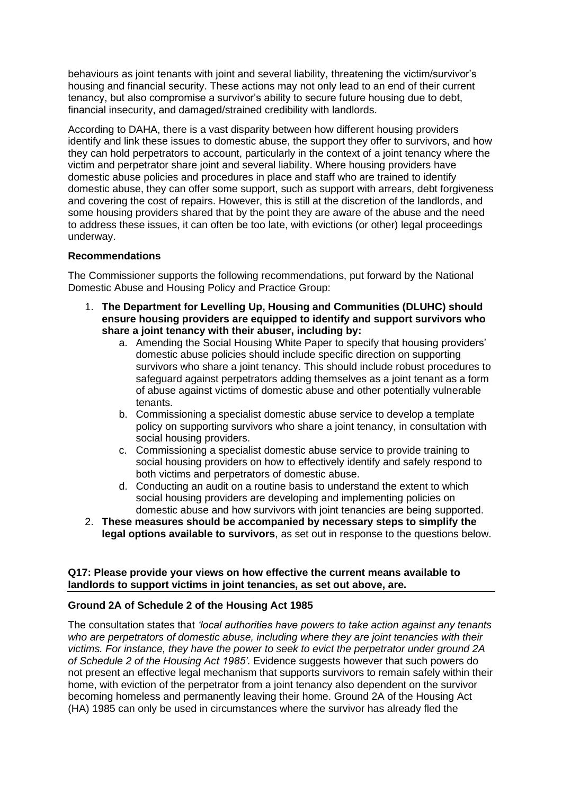behaviours as joint tenants with joint and several liability, threatening the victim/survivor's housing and financial security. These actions may not only lead to an end of their current tenancy, but also compromise a survivor's ability to secure future housing due to debt, financial insecurity, and damaged/strained credibility with landlords.

According to DAHA, there is a vast disparity between how different housing providers identify and link these issues to domestic abuse, the support they offer to survivors, and how they can hold perpetrators to account, particularly in the context of a joint tenancy where the victim and perpetrator share joint and several liability. Where housing providers have domestic abuse policies and procedures in place and staff who are trained to identify domestic abuse, they can offer some support, such as support with arrears, debt forgiveness and covering the cost of repairs. However, this is still at the discretion of the landlords, and some housing providers shared that by the point they are aware of the abuse and the need to address these issues, it can often be too late, with evictions (or other) legal proceedings underway.

# **Recommendations**

The Commissioner supports the following recommendations, put forward by the National Domestic Abuse and Housing Policy and Practice Group:

- 1. **The Department for Levelling Up, Housing and Communities (DLUHC) should ensure housing providers are equipped to identify and support survivors who share a joint tenancy with their abuser, including by:**
	- a. Amending the Social Housing White Paper to specify that housing providers' domestic abuse policies should include specific direction on supporting survivors who share a joint tenancy. This should include robust procedures to safeguard against perpetrators adding themselves as a joint tenant as a form of abuse against victims of domestic abuse and other potentially vulnerable tenants.
	- b. Commissioning a specialist domestic abuse service to develop a template policy on supporting survivors who share a joint tenancy, in consultation with social housing providers.
	- c. Commissioning a specialist domestic abuse service to provide training to social housing providers on how to effectively identify and safely respond to both victims and perpetrators of domestic abuse.
	- d. Conducting an audit on a routine basis to understand the extent to which social housing providers are developing and implementing policies on domestic abuse and how survivors with joint tenancies are being supported.
- 2. **These measures should be accompanied by necessary steps to simplify the legal options available to survivors**, as set out in response to the questions below.

## **Q17: Please provide your views on how effective the current means available to landlords to support victims in joint tenancies, as set out above, are.**

# **Ground 2A of Schedule 2 of the Housing Act 1985**

The consultation states that *'local authorities have powers to take action against any tenants who are perpetrators of domestic abuse, including where they are joint tenancies with their victims. For instance, they have the power to seek to evict the perpetrator under ground 2A of Schedule 2 of the Housing Act 1985'.* Evidence suggests however that such powers do not present an effective legal mechanism that supports survivors to remain safely within their home, with eviction of the perpetrator from a joint tenancy also dependent on the survivor becoming homeless and permanently leaving their home. Ground 2A of the Housing Act (HA) 1985 can only be used in circumstances where the survivor has already fled the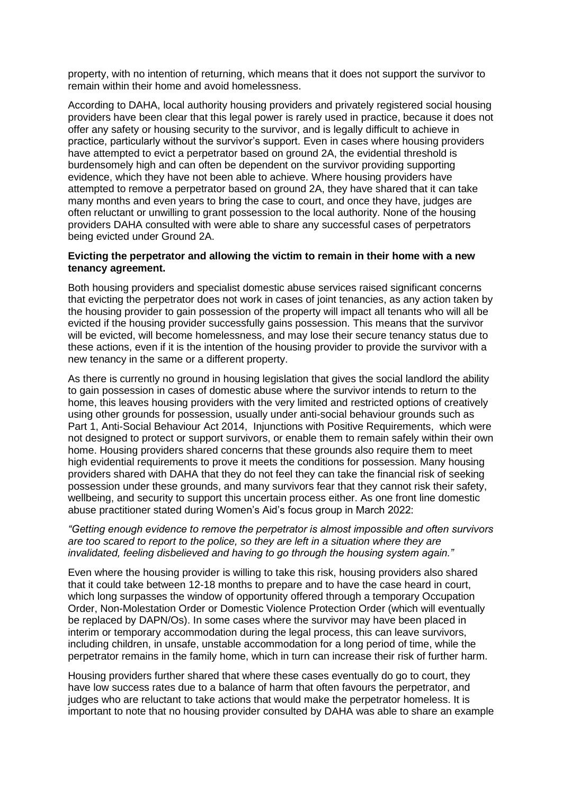property, with no intention of returning, which means that it does not support the survivor to remain within their home and avoid homelessness.

According to DAHA, local authority housing providers and privately registered social housing providers have been clear that this legal power is rarely used in practice, because it does not offer any safety or housing security to the survivor, and is legally difficult to achieve in practice, particularly without the survivor's support. Even in cases where housing providers have attempted to evict a perpetrator based on ground 2A, the evidential threshold is burdensomely high and can often be dependent on the survivor providing supporting evidence, which they have not been able to achieve. Where housing providers have attempted to remove a perpetrator based on ground 2A, they have shared that it can take many months and even years to bring the case to court, and once they have, judges are often reluctant or unwilling to grant possession to the local authority. None of the housing providers DAHA consulted with were able to share any successful cases of perpetrators being evicted under Ground 2A.

## **Evicting the perpetrator and allowing the victim to remain in their home with a new tenancy agreement.**

Both housing providers and specialist domestic abuse services raised significant concerns that evicting the perpetrator does not work in cases of joint tenancies, as any action taken by the housing provider to gain possession of the property will impact all tenants who will all be evicted if the housing provider successfully gains possession. This means that the survivor will be evicted, will become homelessness, and may lose their secure tenancy status due to these actions, even if it is the intention of the housing provider to provide the survivor with a new tenancy in the same or a different property.

As there is currently no ground in housing legislation that gives the social landlord the ability to gain possession in cases of domestic abuse where the survivor intends to return to the home, this leaves housing providers with the very limited and restricted options of creatively using other grounds for possession, usually under anti-social behaviour grounds such as Part 1, Anti-Social Behaviour Act 2014, Injunctions with Positive Requirements, which were not designed to protect or support survivors, or enable them to remain safely within their own home. Housing providers shared concerns that these grounds also require them to meet high evidential requirements to prove it meets the conditions for possession. Many housing providers shared with DAHA that they do not feel they can take the financial risk of seeking possession under these grounds, and many survivors fear that they cannot risk their safety, wellbeing, and security to support this uncertain process either. As one front line domestic abuse practitioner stated during Women's Aid's focus group in March 2022:

#### *"Getting enough evidence to remove the perpetrator is almost impossible and often survivors are too scared to report to the police, so they are left in a situation where they are invalidated, feeling disbelieved and having to go through the housing system again."*

Even where the housing provider is willing to take this risk, housing providers also shared that it could take between 12-18 months to prepare and to have the case heard in court, which long surpasses the window of opportunity offered through a temporary Occupation Order, Non-Molestation Order or Domestic Violence Protection Order (which will eventually be replaced by DAPN/Os). In some cases where the survivor may have been placed in interim or temporary accommodation during the legal process, this can leave survivors, including children, in unsafe, unstable accommodation for a long period of time, while the perpetrator remains in the family home, which in turn can increase their risk of further harm.

Housing providers further shared that where these cases eventually do go to court, they have low success rates due to a balance of harm that often favours the perpetrator, and judges who are reluctant to take actions that would make the perpetrator homeless. It is important to note that no housing provider consulted by DAHA was able to share an example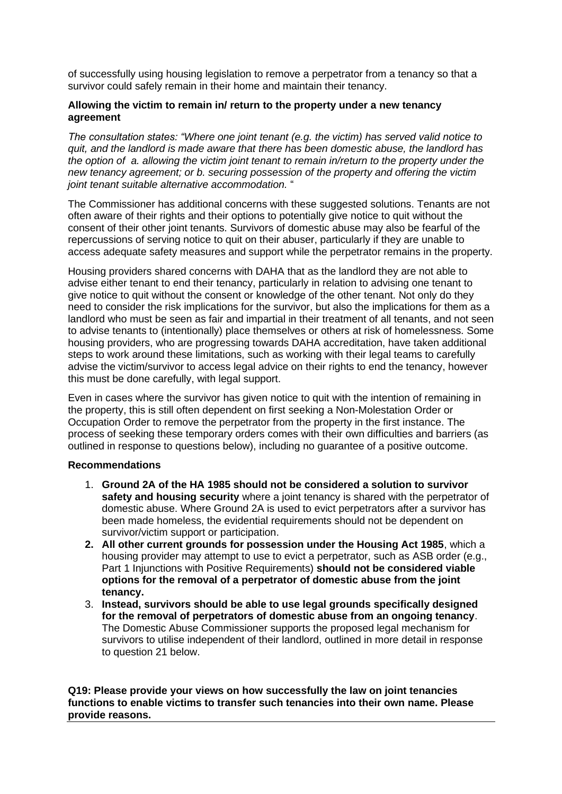of successfully using housing legislation to remove a perpetrator from a tenancy so that a survivor could safely remain in their home and maintain their tenancy.

## **Allowing the victim to remain in/ return to the property under a new tenancy agreement**

*The consultation states: "Where one joint tenant (e.g. the victim) has served valid notice to quit, and the landlord is made aware that there has been domestic abuse, the landlord has the option of a. allowing the victim joint tenant to remain in/return to the property under the new tenancy agreement; or b. securing possession of the property and offering the victim joint tenant suitable alternative accommodation.* "

The Commissioner has additional concerns with these suggested solutions. Tenants are not often aware of their rights and their options to potentially give notice to quit without the consent of their other joint tenants. Survivors of domestic abuse may also be fearful of the repercussions of serving notice to quit on their abuser, particularly if they are unable to access adequate safety measures and support while the perpetrator remains in the property.

Housing providers shared concerns with DAHA that as the landlord they are not able to advise either tenant to end their tenancy, particularly in relation to advising one tenant to give notice to quit without the consent or knowledge of the other tenant. Not only do they need to consider the risk implications for the survivor, but also the implications for them as a landlord who must be seen as fair and impartial in their treatment of all tenants, and not seen to advise tenants to (intentionally) place themselves or others at risk of homelessness. Some housing providers, who are progressing towards DAHA accreditation, have taken additional steps to work around these limitations, such as working with their legal teams to carefully advise the victim/survivor to access legal advice on their rights to end the tenancy, however this must be done carefully, with legal support.

Even in cases where the survivor has given notice to quit with the intention of remaining in the property, this is still often dependent on first seeking a Non-Molestation Order or Occupation Order to remove the perpetrator from the property in the first instance. The process of seeking these temporary orders comes with their own difficulties and barriers (as outlined in response to questions below), including no guarantee of a positive outcome.

#### **Recommendations**

- 1. **Ground 2A of the HA 1985 should not be considered a solution to survivor safety and housing security** where a joint tenancy is shared with the perpetrator of domestic abuse. Where Ground 2A is used to evict perpetrators after a survivor has been made homeless, the evidential requirements should not be dependent on survivor/victim support or participation.
- **2. All other current grounds for possession under the Housing Act 1985**, which a housing provider may attempt to use to evict a perpetrator, such as ASB order (e.g., Part 1 Injunctions with Positive Requirements) **should not be considered viable options for the removal of a perpetrator of domestic abuse from the joint tenancy.**
- 3. **Instead, survivors should be able to use legal grounds specifically designed for the removal of perpetrators of domestic abuse from an ongoing tenancy**. The Domestic Abuse Commissioner supports the proposed legal mechanism for survivors to utilise independent of their landlord, outlined in more detail in response to question 21 below.

**Q19: Please provide your views on how successfully the law on joint tenancies functions to enable victims to transfer such tenancies into their own name. Please provide reasons.**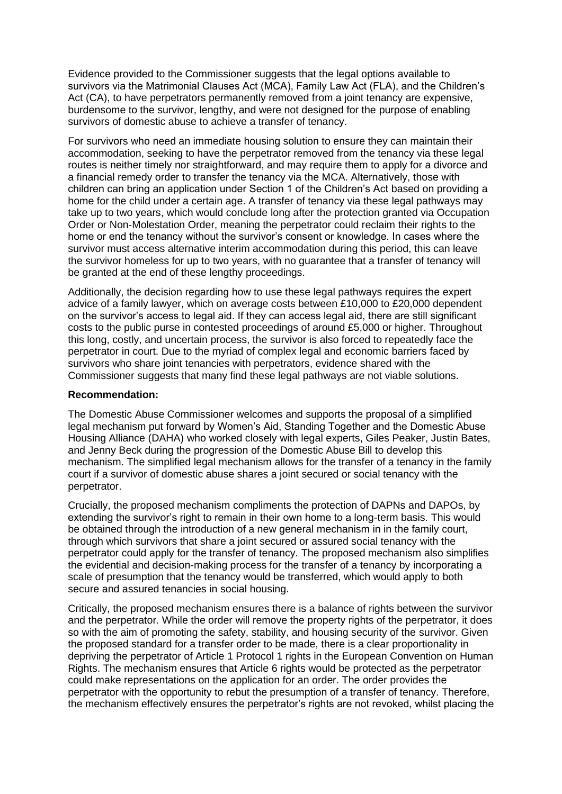Evidence provided to the Commissioner suggests that the legal options available to survivors via the Matrimonial Clauses Act (MCA), Family Law Act (FLA), and the Children's Act (CA), to have perpetrators permanently removed from a joint tenancy are expensive, burdensome to the survivor, lengthy, and were not designed for the purpose of enabling survivors of domestic abuse to achieve a transfer of tenancy.

For survivors who need an immediate housing solution to ensure they can maintain their accommodation, seeking to have the perpetrator removed from the tenancy via these legal routes is neither timely nor straightforward, and may require them to apply for a divorce and a financial remedy order to transfer the tenancy via the MCA. Alternatively, those with children can bring an application under Section 1 of the Children's Act based on providing a home for the child under a certain age. A transfer of tenancy via these legal pathways may take up to two years, which would conclude long after the protection granted via Occupation Order or Non-Molestation Order, meaning the perpetrator could reclaim their rights to the home or end the tenancy without the survivor's consent or knowledge. In cases where the survivor must access alternative interim accommodation during this period, this can leave the survivor homeless for up to two years, with no guarantee that a transfer of tenancy will be granted at the end of these lengthy proceedings.

Additionally, the decision regarding how to use these legal pathways requires the expert advice of a family lawyer, which on average costs between £10,000 to £20,000 dependent on the survivor's access to legal aid. If they can access legal aid, there are still significant costs to the public purse in contested proceedings of around £5,000 or higher. Throughout this long, costly, and uncertain process, the survivor is also forced to repeatedly face the perpetrator in court. Due to the myriad of complex legal and economic barriers faced by survivors who share joint tenancies with perpetrators, evidence shared with the Commissioner suggests that many find these legal pathways are not viable solutions.

## **Recommendation:**

The Domestic Abuse Commissioner welcomes and supports the proposal of a simplified legal mechanism put forward by Women's Aid, Standing Together and the Domestic Abuse Housing Alliance (DAHA) who worked closely with legal experts, Giles Peaker, Justin Bates, and Jenny Beck during the progression of the Domestic Abuse Bill to develop this mechanism. The simplified legal mechanism allows for the transfer of a tenancy in the family court if a survivor of domestic abuse shares a joint secured or social tenancy with the perpetrator.

Crucially, the proposed mechanism compliments the protection of DAPNs and DAPOs, by extending the survivor's right to remain in their own home to a long-term basis. This would be obtained through the introduction of a new general mechanism in in the family court, through which survivors that share a joint secured or assured social tenancy with the perpetrator could apply for the transfer of tenancy. The proposed mechanism also simplifies the evidential and decision-making process for the transfer of a tenancy by incorporating a scale of presumption that the tenancy would be transferred, which would apply to both secure and assured tenancies in social housing.

Critically, the proposed mechanism ensures there is a balance of rights between the survivor and the perpetrator. While the order will remove the property rights of the perpetrator, it does so with the aim of promoting the safety, stability, and housing security of the survivor. Given the proposed standard for a transfer order to be made, there is a clear proportionality in depriving the perpetrator of Article 1 Protocol 1 rights in the European Convention on Human Rights. The mechanism ensures that Article 6 rights would be protected as the perpetrator could make representations on the application for an order. The order provides the perpetrator with the opportunity to rebut the presumption of a transfer of tenancy. Therefore, the mechanism effectively ensures the perpetrator's rights are not revoked, whilst placing the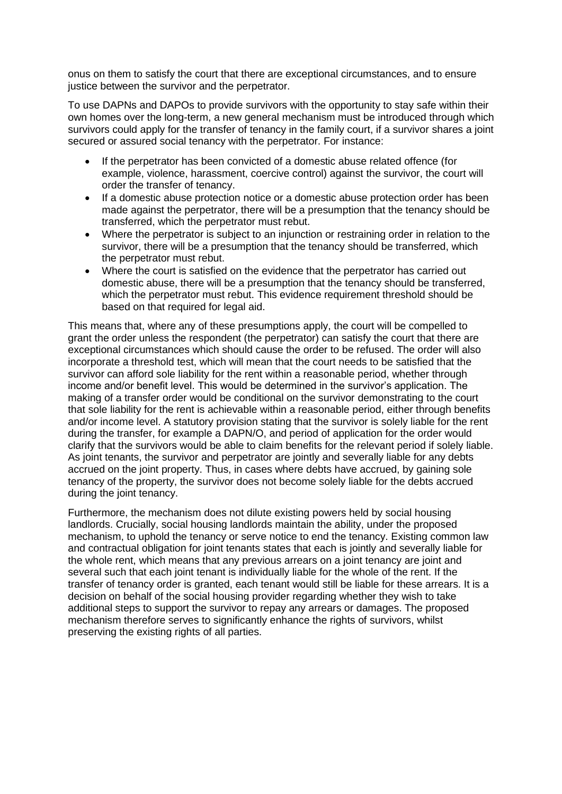onus on them to satisfy the court that there are exceptional circumstances, and to ensure justice between the survivor and the perpetrator.

To use DAPNs and DAPOs to provide survivors with the opportunity to stay safe within their own homes over the long-term, a new general mechanism must be introduced through which survivors could apply for the transfer of tenancy in the family court, if a survivor shares a joint secured or assured social tenancy with the perpetrator. For instance:

- If the perpetrator has been convicted of a domestic abuse related offence (for example, violence, harassment, coercive control) against the survivor, the court will order the transfer of tenancy.
- If a domestic abuse protection notice or a domestic abuse protection order has been made against the perpetrator, there will be a presumption that the tenancy should be transferred, which the perpetrator must rebut.
- Where the perpetrator is subject to an injunction or restraining order in relation to the survivor, there will be a presumption that the tenancy should be transferred, which the perpetrator must rebut.
- Where the court is satisfied on the evidence that the perpetrator has carried out domestic abuse, there will be a presumption that the tenancy should be transferred, which the perpetrator must rebut. This evidence requirement threshold should be based on that required for legal aid.

This means that, where any of these presumptions apply, the court will be compelled to grant the order unless the respondent (the perpetrator) can satisfy the court that there are exceptional circumstances which should cause the order to be refused. The order will also incorporate a threshold test, which will mean that the court needs to be satisfied that the survivor can afford sole liability for the rent within a reasonable period, whether through income and/or benefit level. This would be determined in the survivor's application. The making of a transfer order would be conditional on the survivor demonstrating to the court that sole liability for the rent is achievable within a reasonable period, either through benefits and/or income level. A statutory provision stating that the survivor is solely liable for the rent during the transfer, for example a DAPN/O, and period of application for the order would clarify that the survivors would be able to claim benefits for the relevant period if solely liable. As joint tenants, the survivor and perpetrator are jointly and severally liable for any debts accrued on the joint property. Thus, in cases where debts have accrued, by gaining sole tenancy of the property, the survivor does not become solely liable for the debts accrued during the joint tenancy.

Furthermore, the mechanism does not dilute existing powers held by social housing landlords. Crucially, social housing landlords maintain the ability, under the proposed mechanism, to uphold the tenancy or serve notice to end the tenancy. Existing common law and contractual obligation for joint tenants states that each is jointly and severally liable for the whole rent, which means that any previous arrears on a joint tenancy are joint and several such that each joint tenant is individually liable for the whole of the rent. If the transfer of tenancy order is granted, each tenant would still be liable for these arrears. It is a decision on behalf of the social housing provider regarding whether they wish to take additional steps to support the survivor to repay any arrears or damages. The proposed mechanism therefore serves to significantly enhance the rights of survivors, whilst preserving the existing rights of all parties.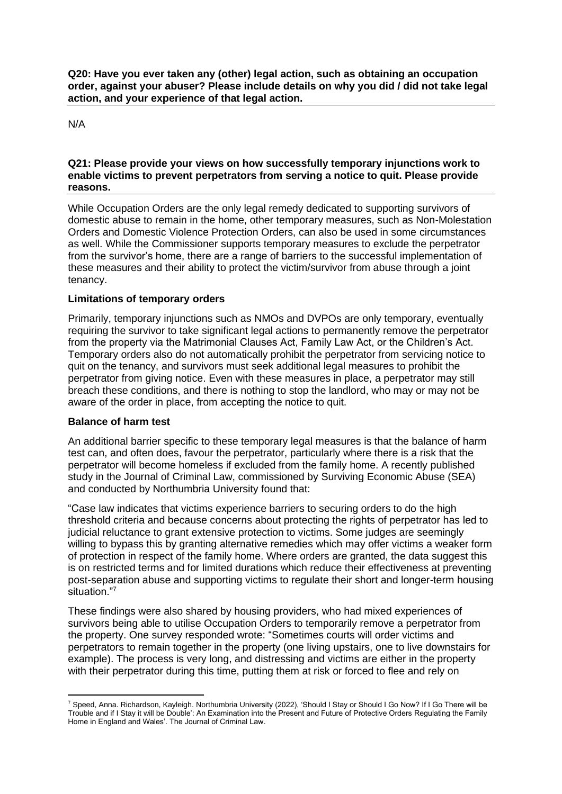**Q20: Have you ever taken any (other) legal action, such as obtaining an occupation order, against your abuser? Please include details on why you did / did not take legal action, and your experience of that legal action.** 

N/A

## **Q21: Please provide your views on how successfully temporary injunctions work to enable victims to prevent perpetrators from serving a notice to quit. Please provide reasons.**

While Occupation Orders are the only legal remedy dedicated to supporting survivors of domestic abuse to remain in the home, other temporary measures, such as Non-Molestation Orders and Domestic Violence Protection Orders, can also be used in some circumstances as well. While the Commissioner supports temporary measures to exclude the perpetrator from the survivor's home, there are a range of barriers to the successful implementation of these measures and their ability to protect the victim/survivor from abuse through a joint tenancy.

# **Limitations of temporary orders**

Primarily, temporary injunctions such as NMOs and DVPOs are only temporary, eventually requiring the survivor to take significant legal actions to permanently remove the perpetrator from the property via the Matrimonial Clauses Act, Family Law Act, or the Children's Act. Temporary orders also do not automatically prohibit the perpetrator from servicing notice to quit on the tenancy, and survivors must seek additional legal measures to prohibit the perpetrator from giving notice. Even with these measures in place, a perpetrator may still breach these conditions, and there is nothing to stop the landlord, who may or may not be aware of the order in place, from accepting the notice to quit.

# **Balance of harm test**

An additional barrier specific to these temporary legal measures is that the balance of harm test can, and often does, favour the perpetrator, particularly where there is a risk that the perpetrator will become homeless if excluded from the family home. A recently published study in the Journal of Criminal Law, commissioned by Surviving Economic Abuse (SEA) and conducted by Northumbria University found that:

"Case law indicates that victims experience barriers to securing orders to do the high threshold criteria and because concerns about protecting the rights of perpetrator has led to judicial reluctance to grant extensive protection to victims. Some judges are seemingly willing to bypass this by granting alternative remedies which may offer victims a weaker form of protection in respect of the family home. Where orders are granted, the data suggest this is on restricted terms and for limited durations which reduce their effectiveness at preventing post-separation abuse and supporting victims to regulate their short and longer-term housing situation."<sup>7</sup>

These findings were also shared by housing providers, who had mixed experiences of survivors being able to utilise Occupation Orders to temporarily remove a perpetrator from the property. One survey responded wrote: "Sometimes courts will order victims and perpetrators to remain together in the property (one living upstairs, one to live downstairs for example). The process is very long, and distressing and victims are either in the property with their perpetrator during this time, putting them at risk or forced to flee and rely on

<sup>7</sup> Speed, Anna. Richardson, Kayleigh. Northumbria University (2022), 'Should I Stay or Should I Go Now? If I Go There will be Trouble and if I Stay it will be Double': An Examination into the Present and Future of Protective Orders Regulating the Family Home in England and Wales'. The Journal of Criminal Law.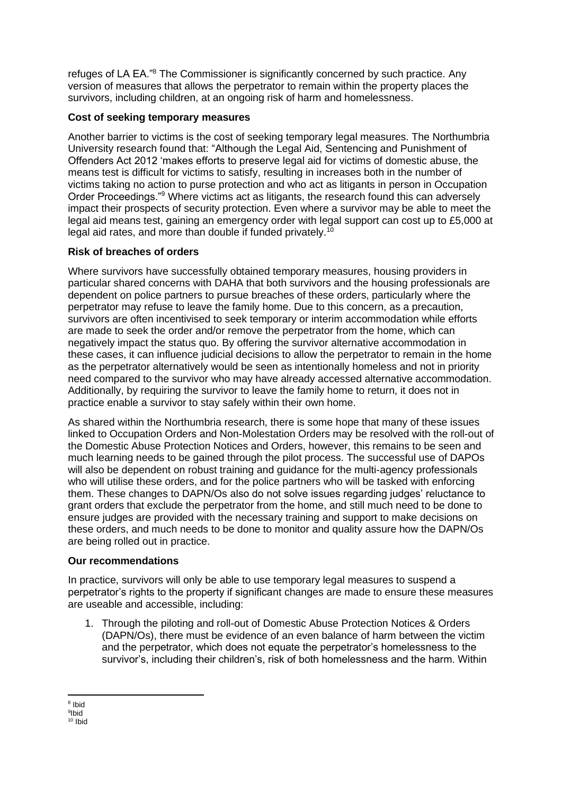refuges of LA EA."<sup>8</sup> The Commissioner is significantly concerned by such practice. Any version of measures that allows the perpetrator to remain within the property places the survivors, including children, at an ongoing risk of harm and homelessness.

# **Cost of seeking temporary measures**

Another barrier to victims is the cost of seeking temporary legal measures. The Northumbria University research found that: "Although the Legal Aid, Sentencing and Punishment of Offenders Act 2012 'makes efforts to preserve legal aid for victims of domestic abuse, the means test is difficult for victims to satisfy, resulting in increases both in the number of victims taking no action to purse protection and who act as litigants in person in Occupation Order Proceedings."<sup>9</sup> Where victims act as litigants, the research found this can adversely impact their prospects of security protection. Even where a survivor may be able to meet the legal aid means test, gaining an emergency order with legal support can cost up to £5,000 at legal aid rates, and more than double if funded privately.<sup>10</sup>

# **Risk of breaches of orders**

Where survivors have successfully obtained temporary measures, housing providers in particular shared concerns with DAHA that both survivors and the housing professionals are dependent on police partners to pursue breaches of these orders, particularly where the perpetrator may refuse to leave the family home. Due to this concern, as a precaution, survivors are often incentivised to seek temporary or interim accommodation while efforts are made to seek the order and/or remove the perpetrator from the home, which can negatively impact the status quo. By offering the survivor alternative accommodation in these cases, it can influence judicial decisions to allow the perpetrator to remain in the home as the perpetrator alternatively would be seen as intentionally homeless and not in priority need compared to the survivor who may have already accessed alternative accommodation. Additionally, by requiring the survivor to leave the family home to return, it does not in practice enable a survivor to stay safely within their own home.

As shared within the Northumbria research, there is some hope that many of these issues linked to Occupation Orders and Non-Molestation Orders may be resolved with the roll-out of the Domestic Abuse Protection Notices and Orders, however, this remains to be seen and much learning needs to be gained through the pilot process. The successful use of DAPOs will also be dependent on robust training and guidance for the multi-agency professionals who will utilise these orders, and for the police partners who will be tasked with enforcing them. These changes to DAPN/Os also do not solve issues regarding judges' reluctance to grant orders that exclude the perpetrator from the home, and still much need to be done to ensure judges are provided with the necessary training and support to make decisions on these orders, and much needs to be done to monitor and quality assure how the DAPN/Os are being rolled out in practice.

# **Our recommendations**

In practice, survivors will only be able to use temporary legal measures to suspend a perpetrator's rights to the property if significant changes are made to ensure these measures are useable and accessible, including:

1. Through the piloting and roll-out of Domestic Abuse Protection Notices & Orders (DAPN/Os), there must be evidence of an even balance of harm between the victim and the perpetrator, which does not equate the perpetrator's homelessness to the survivor's, including their children's, risk of both homelessness and the harm. Within

<sup>8</sup> Ibid

<sup>9</sup> Ibid <sup>10</sup> Ibid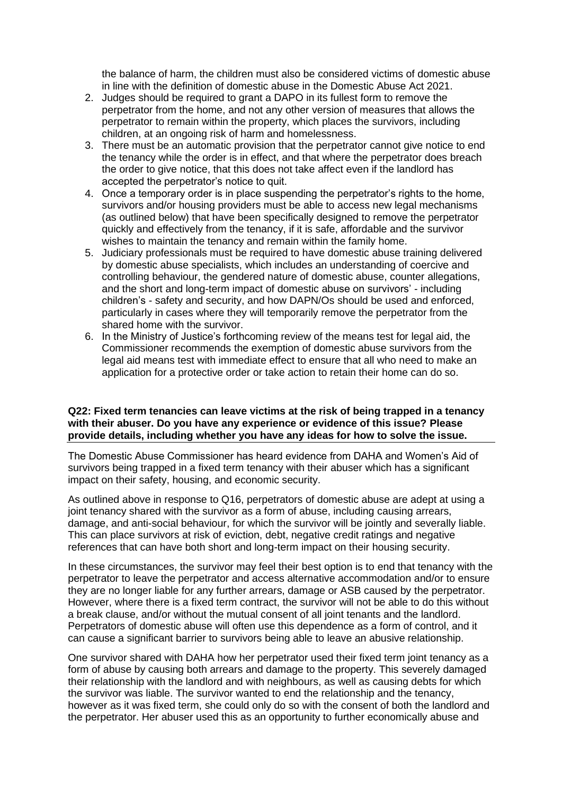the balance of harm, the children must also be considered victims of domestic abuse in line with the definition of domestic abuse in the Domestic Abuse Act 2021.

- 2. Judges should be required to grant a DAPO in its fullest form to remove the perpetrator from the home, and not any other version of measures that allows the perpetrator to remain within the property, which places the survivors, including children, at an ongoing risk of harm and homelessness.
- 3. There must be an automatic provision that the perpetrator cannot give notice to end the tenancy while the order is in effect, and that where the perpetrator does breach the order to give notice, that this does not take affect even if the landlord has accepted the perpetrator's notice to quit.
- 4. Once a temporary order is in place suspending the perpetrator's rights to the home, survivors and/or housing providers must be able to access new legal mechanisms (as outlined below) that have been specifically designed to remove the perpetrator quickly and effectively from the tenancy, if it is safe, affordable and the survivor wishes to maintain the tenancy and remain within the family home.
- 5. Judiciary professionals must be required to have domestic abuse training delivered by domestic abuse specialists, which includes an understanding of coercive and controlling behaviour, the gendered nature of domestic abuse, counter allegations, and the short and long-term impact of domestic abuse on survivors' - including children's - safety and security, and how DAPN/Os should be used and enforced, particularly in cases where they will temporarily remove the perpetrator from the shared home with the survivor.
- 6. In the Ministry of Justice's forthcoming review of the means test for legal aid, the Commissioner recommends the exemption of domestic abuse survivors from the legal aid means test with immediate effect to ensure that all who need to make an application for a protective order or take action to retain their home can do so.

## **Q22: Fixed term tenancies can leave victims at the risk of being trapped in a tenancy with their abuser. Do you have any experience or evidence of this issue? Please provide details, including whether you have any ideas for how to solve the issue.**

The Domestic Abuse Commissioner has heard evidence from DAHA and Women's Aid of survivors being trapped in a fixed term tenancy with their abuser which has a significant impact on their safety, housing, and economic security.

As outlined above in response to Q16, perpetrators of domestic abuse are adept at using a joint tenancy shared with the survivor as a form of abuse, including causing arrears, damage, and anti-social behaviour, for which the survivor will be jointly and severally liable. This can place survivors at risk of eviction, debt, negative credit ratings and negative references that can have both short and long-term impact on their housing security.

In these circumstances, the survivor may feel their best option is to end that tenancy with the perpetrator to leave the perpetrator and access alternative accommodation and/or to ensure they are no longer liable for any further arrears, damage or ASB caused by the perpetrator. However, where there is a fixed term contract, the survivor will not be able to do this without a break clause, and/or without the mutual consent of all joint tenants and the landlord. Perpetrators of domestic abuse will often use this dependence as a form of control, and it can cause a significant barrier to survivors being able to leave an abusive relationship.

One survivor shared with DAHA how her perpetrator used their fixed term joint tenancy as a form of abuse by causing both arrears and damage to the property. This severely damaged their relationship with the landlord and with neighbours, as well as causing debts for which the survivor was liable. The survivor wanted to end the relationship and the tenancy, however as it was fixed term, she could only do so with the consent of both the landlord and the perpetrator. Her abuser used this as an opportunity to further economically abuse and